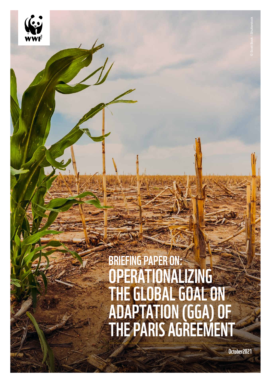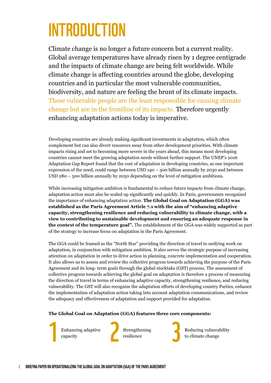## INTRODUCTION

Climate change is no longer a future concern but a current reality. Global average temperatures have already risen by 1 degree centigrade and the impacts of climate change are being felt worldwide. While climate change is affecting countries around the globe, developing countries and in particular the most vulnerable communities, biodiversity, and nature are feeling the brunt of its climate impacts. These vulnerable people are the least responsible for causing climate change but are in the frontline of its impacts. Therefore urgently enhancing adaptation actions today is imperative.

Developing countries are already making significant investments in adaptation, which often complement but can also divert resources away from other development priorities. With climate impacts rising and set to becoming more severe in the years ahead, this means most developing countries cannot meet the growing adaptation needs without further support. The UNEP's 2016 Adaptation Gap Report found that the cost of adaptation in developing countries, as one important expression of the need, could range between USD 140 – 300 billion annually by 2030 and between USD 280 – 500 billion annually by 2050 depending on the level of mitigation ambitions.

While increasing mitigation ambition is fundamental to reduce future impacts from climate change, adaptation action must also be scaled up significantly and quickly. In Paris, governments recognized the importance of enhancing adaptation action. **The Global Goal on Adaptation (GGA) was established as the Paris Agreement Article 7.1 with the aim of "enhancing adaptive capacity, strengthening resilience and reducing vulnerability to climate change, with a view to contributing to sustainable development and ensuring an adequate response in the context of the temperature goal".** The establishment of the GGA was widely supported as part of the strategy to increase focus on adaptation in the Paris Agreement.

The GGA could be framed as the "North Star" providing the direction of travel to unifying work on adaptation, in conjunction with mitigation ambition. It also serves the strategic purpose of increasing attention on adaptation in order to drive action in planning, concrete implementation and cooperation. It also allows us to assess and review the collective progress towards achieving the purpose of the Paris Agreement and its long- term goals through the global stocktake (GST) process. The assessment of collective progress towards achieving the global goal on adaptation is therefore a process of measuring the direction of travel in terms of enhancing adaptive capacity, strengthening resilience, and reducing vulnerability. The GST will also recognize the adaptation efforts of developing country Parties, enhance the implementation of adaptation action taking into account adaptation communications, and review the adequacy and effectiveness of adaptation and support provided for adaptation.

#### **The Global Goal on Adaptation (GGA) features three core components:**

Enhancing adaptive Strengthening resilience Enhancing adaptive capacity

Strengthening resilience



Reducing vulnerability to climate change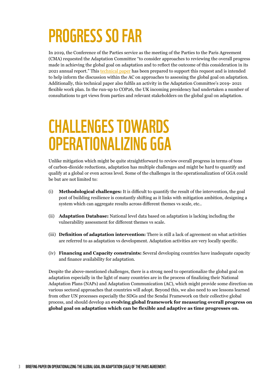## PROGRESS SO FAR

In 2019, the Conference of the Parties service as the meeting of the Parties to the Paris Agreement (CMA) requested the Adaptation Committee "to consider approaches to reviewing the overall progress made in achieving the global goal on adaptation and to reflect the outcome of this consideration in its 2021 annual report." This [technical paper](https://unfccc.int/sites/default/files/resource/ac20_5a_gga_tp.pdf) has been prepared to support this request and is intended to help inform the discussion within the AC on approaches to assessing the global goal on adaptation. Additionally, this technical paper also fulfils an activity in the Adaptation Committee's 2019- 2021 flexible work plan. In the run-up to COP26, the UK incoming presidency had undertaken a number of consultations to get views from parties and relevant stakeholders on the global goal on adaptation.

### CHALLENGES TOWARDS OPERATIONALIZING GGA

Unlike mitigation which might be quite straightforward to review overall progress in terms of tons of carbon-dioxide reductions, adaptation has multiple challenges and might be hard to quantify and qualify at a global or even across level. Some of the challenges in the operationalization of GGA could be but are not limited to:

- (i) **Methodological challenges:** It is difficult to quantify the result of the intervention, the goal post of building resilience is constantly shifting as it links with mitigation ambition, designing a system which can aggregate results across different themes vs scale, etc..
- (ii) **Adaptation Database:** National level data based on adaptation is lacking including the vulnerability assessment for different themes vs scale.
- (iii) **Definition of adaptation intervention:** There is still a lack of agreement on what activities are referred to as adaptation vs development. Adaptation activities are very locally specific.
- (iv) **Financing and Capacity constraints:** Several developing countries have inadequate capacity and finance availability for adaptation.

Despite the above-mentioned challenges, there is a strong need to operationalize the global goal on adaptation especially in the light of many countries are in the process of finalizing their National Adaptation Plans (NAPs) and Adaptation Communication (AC), which might provide some direction on various sectoral approaches that countries will adopt. Beyond this, we also need to see lessons learned from other UN processes especially the SDGs and the Sendai Framework on their collective global process, and should develop an **evolving global framework for measuring overall progress on global goal on adaptation which can be flexible and adaptive as time progresses on.**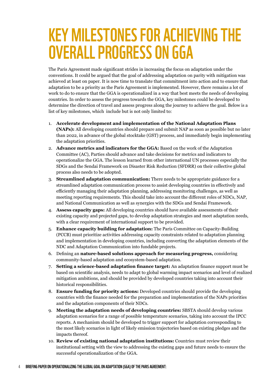### KEY MILESTONES FOR ACHIEVING THE OVERALL PROGRESS ON GGA

The Paris Agreement made significant strides in increasing the focus on adaptation under the conventions. It could be argued that the goal of addressing adaptation on parity with mitigation was achieved at least on paper. It is now time to translate that commitment into action and to ensure that adaptation to be a priority as the Paris Agreement is implemented. However, there remains a lot of work to do to ensure that the GGA is operationalized in a way that best meets the needs of developing countries. In order to assess the progress towards the GGA, key milestones could be developed to determine the direction of travel and assess progress along the journey to achieve the goal. Below is a list of key milestones, which include but is not only limited to:

- 1. **Accelerate development and implementation of the National Adaptation Plans (NAPs):** All developing countries should prepare and submit NAP as soon as possible but no later than 2022, in advance of the global stocktake (GST) process, and immediately begin implementing the adaptation priorities.
- 2. **Advance metrics and indicators for the GGA:** Based on the work of the Adaptation Committee (AC), Parties should advance and take decisions for metrics and indicators to operationalize the GGA. The lesson learned from other international UN processes especially the SDGs and the Sendai Framework on Disaster Risk Reduction (SFDRR) on their collective global process also needs to be adopted.
- 3. **Streamlined adaptation communication:** There needs to be appropriate guidance for a streamlined adaptation communication process to assist developing countries in effectively and efficiently managing their adaptation planning, addressing monitoring challenges, as well as meeting reporting requirements. This should take into account the different roles of NDCs, NAP, and National Communication as well as synergies with the SDGs and Sendai Framework.
- 4. **Assess capacity gaps:** All developing countries should have available assessments of their existing capacity and projected gaps, to develop adaptation strategies and meet adaptation needs, with a clear requirement of international support to be provided.
- 5. **Enhance capacity building for adaptation:** The Paris Committee on Capacity-Building (PCCB) must prioritize activities addressing capacity constraints related to adaptation planning and implementation in developing countries, including converting the adaptation elements of the NDC and Adaptation Communication into fundable projects.
- 6. Defining an **nature-based solutions approach for measuring progress,** considering community-based adaptation and ecosystem-based adaptation.
- 7. **Setting a science-based adaptation finance target:** An adaptation finance support must be based on scientific analysis, needs to adapt to global warming impact scenarios and level of realized mitigation ambitions, and should be provided by developed countries taking into account their historical responsibilities.
- 8. **Ensure funding for priority actions:** Developed countries should provide the developing countries with the finance needed for the preparation and implementation of the NAPs priorities and the adaptation components of their NDCs.
- 9. **Meeting the adaptation needs of developing countries:** SBSTA should develop various adaptation scenarios for a range of possible temperature scenarios, taking into account the IPCC reports. A mechanism should be developed to trigger support for adaptation corresponding to the most likely scenarios in light of likely emission trajectories based on existing pledges and the impacts thereof.
- 10. **Review of existing national adaptation institutions:** Countries must review their institutional setting with the view to addressing the existing gaps and future needs to ensure the successful operationalization of the GGA.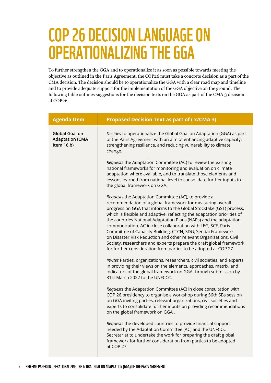## COP 26 DECISION LANGUAGE ON OPERATIONALIZING THE GGA

To further strengthen the GGA and to operationalize it as soon as possible towards meeting the objective as outlined in the Paris Agreement, the COP26 must take a concrete decision as a part of the CMA decision. The decision should be to operationalize the GGA with a clear road map and timeline and to provide adequate support for the implementation of the GGA objective on the ground. The following table outlines suggestions for the decision texts on the GGA as part of the CMA 3 decision at COP26.

| <b>Agenda Item</b>                                     | <b>Proposed Decision Text as part of (X/CMA 3)</b>                                                                                                                                                                                                                                                                                                                                                                                                                                                                                                                                                                                                                                        |
|--------------------------------------------------------|-------------------------------------------------------------------------------------------------------------------------------------------------------------------------------------------------------------------------------------------------------------------------------------------------------------------------------------------------------------------------------------------------------------------------------------------------------------------------------------------------------------------------------------------------------------------------------------------------------------------------------------------------------------------------------------------|
| Global Goal on<br><b>Adaptation (CMA</b><br>Item 16.b) | Decides to operationalize the Global Goal on Adaptation (GGA) as part<br>of the Paris Agreement with an aim of enhancing adaptive capacity,<br>strengthening resilience, and reducing vulnerability to climate<br>change.                                                                                                                                                                                                                                                                                                                                                                                                                                                                 |
|                                                        | Requests the Adaptation Committee (AC) to review the existing<br>national frameworks for monitoring and evaluation on climate<br>adaptation where available, and to translate those elements and<br>lessons learned from national level to consolidate further inputs to<br>the global framework on GGA.                                                                                                                                                                                                                                                                                                                                                                                  |
|                                                        | Requests the Adaptation Committee (AC), to provide a<br>recommendation of a global framework for measuring overall<br>progress on GGA that informs to the Global Stocktake (GST) process,<br>which is flexible and adaptive, reflecting the adaptation priorities of<br>the countries National Adaptation Plans (NAPs) and the adaptation<br>communication. AC in close collaboration with LEG, SCF, Paris<br>Committee of Capacity Building, CTCN, SDG, Sendai Framework<br>on Disaster Risk Reduction and other relevant Organizations, Civil<br>Society, researchers and experts prepare the draft global framework<br>for further consideration from parties to be adopted at COP 27. |
|                                                        | Invites Parties, organizations, researchers, civil societies, and experts<br>in providing their views on the elements, approaches, matrix, and<br>indicators of the global framework on GGA through submission by<br>31st March 2022 to the UNFCCC.                                                                                                                                                                                                                                                                                                                                                                                                                                       |
|                                                        | Requests the Adaptation Committee (AC) in close consultation with<br>COP 26 presidency to organise a workshop during 56th SBs session<br>on GGA inviting parties, relevant organizations, civil societies and<br>experts to consolidate further inputs on providing recommendations<br>on the global framework on GGA.                                                                                                                                                                                                                                                                                                                                                                    |
|                                                        | Requests the developed countries to provide financial support<br>needed by the Adaptation Committee (AC) and the UNFCCC<br>Secretariat to undertake the work for preparing the draft global<br>framework for further consideration from parties to be adopted<br>at COP 27.                                                                                                                                                                                                                                                                                                                                                                                                               |